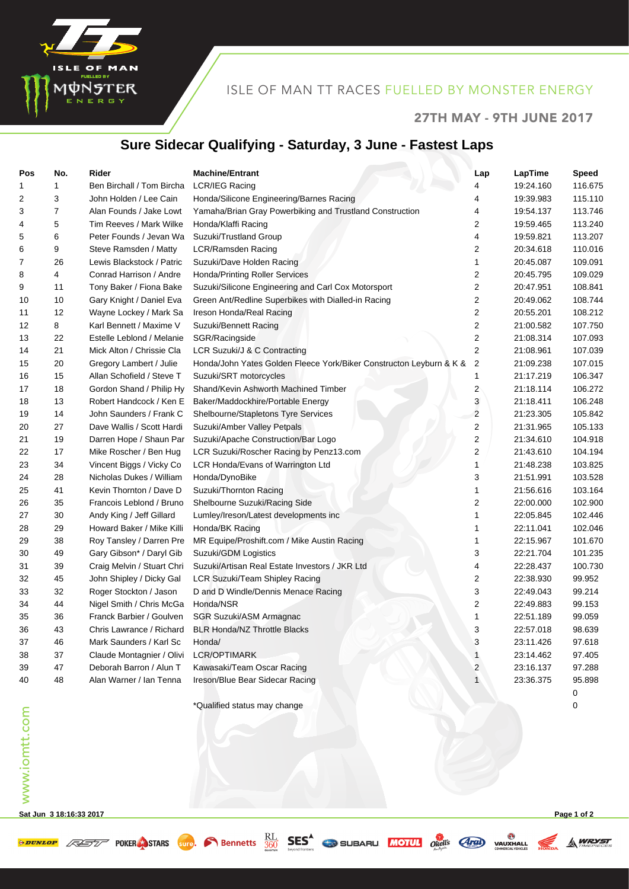

### ISLE OF MAN TT RACES FUELLED BY MONSTER ENERGY

#### 27TH MAY - 9TH JUNE 2017

# **Sure Sidecar Qualifying - Saturday, 3 June - Fastest Laps**

| Pos            | No. | Rider                      | <b>Machine/Entrant</b>                                              | Lap                     | LapTime   | <b>Speed</b> |
|----------------|-----|----------------------------|---------------------------------------------------------------------|-------------------------|-----------|--------------|
| 1              | 1   | Ben Birchall / Tom Bircha  | LCR/IEG Racing                                                      |                         | 19:24.160 | 116.675      |
| 2              | 3   | John Holden / Lee Cain     | Honda/Silicone Engineering/Barnes Racing                            | 4                       | 19:39.983 | 115.110      |
| 3              | 7   | Alan Founds / Jake Lowt    | Yamaha/Brian Gray Powerbiking and Trustland Construction            | 4                       | 19:54.137 | 113.746      |
| 4              | 5   | Tim Reeves / Mark Wilke    | Honda/Klaffi Racing                                                 | 2                       | 19:59.465 | 113.240      |
| 5              | 6   | Peter Founds / Jevan Wa    | Suzuki/Trustland Group                                              | 4                       | 19:59.821 | 113.207      |
| 6              | 9   | Steve Ramsden / Matty      | <b>LCR/Ramsden Racing</b>                                           | 2                       | 20:34.618 | 110.016      |
| $\overline{7}$ | 26  | Lewis Blackstock / Patric  | Suzuki/Dave Holden Racing                                           | 1                       | 20:45.087 | 109.091      |
| 8              | 4   | Conrad Harrison / Andre    | Honda/Printing Roller Services                                      | 2                       | 20:45.795 | 109.029      |
| 9              | 11  | Tony Baker / Fiona Bake    | Suzuki/Silicone Engineering and Carl Cox Motorsport                 | 2                       | 20:47.951 | 108.841      |
| 10             | 10  | Gary Knight / Daniel Eva   | Green Ant/Redline Superbikes with Dialled-in Racing                 | $\overline{\mathbf{c}}$ | 20:49.062 | 108.744      |
| 11             | 12  | Wayne Lockey / Mark Sa     | Ireson Honda/Real Racing                                            | 2                       | 20:55.201 | 108.212      |
| 12             | 8   | Karl Bennett / Maxime V    | Suzuki/Bennett Racing                                               | $\overline{2}$          | 21:00.582 | 107.750      |
| 13             | 22  | Estelle Leblond / Melanie  | SGR/Racingside                                                      | $\boldsymbol{2}$        | 21:08.314 | 107.093      |
| 14             | 21  | Mick Alton / Chrissie Cla  | LCR Suzuki/J & C Contracting                                        | $\overline{2}$          | 21:08.961 | 107.039      |
| 15             | 20  | Gregory Lambert / Julie    | Honda/John Yates Golden Fleece York/Biker Constructon Leyburn & K & | $\overline{2}$          | 21:09.238 | 107.015      |
| 16             | 15  | Allan Schofield / Steve T  | Suzuki/SRT motorcycles                                              | 1                       | 21:17.219 | 106.347      |
| 17             | 18  | Gordon Shand / Philip Hy   | Shand/Kevin Ashworth Machined Timber                                | $\overline{c}$          | 21:18.114 | 106.272      |
| 18             | 13  | Robert Handcock / Ken E    | Baker/Maddockhire/Portable Energy                                   | 3                       | 21:18.411 | 106.248      |
| 19             | 14  | John Saunders / Frank C    | Shelbourne/Stapletons Tyre Services                                 | $\overline{c}$          | 21:23.305 | 105.842      |
| 20             | 27  | Dave Wallis / Scott Hardi  | Suzuki/Amber Valley Petpals                                         | $\boldsymbol{2}$        | 21:31.965 | 105.133      |
| 21             | 19  | Darren Hope / Shaun Par    | Suzuki/Apache Construction/Bar Logo                                 | 2                       | 21:34.610 | 104.918      |
| 22             | 17  | Mike Roscher / Ben Hug     | LCR Suzuki/Roscher Racing by Penz13.com                             | 2                       | 21:43.610 | 104.194      |
| 23             | 34  | Vincent Biggs / Vicky Co   | LCR Honda/Evans of Warrington Ltd                                   | 1                       | 21:48.238 | 103.825      |
| 24             | 28  | Nicholas Dukes / William   | Honda/DynoBike                                                      | 3                       | 21:51.991 | 103.528      |
| 25             | 41  | Kevin Thornton / Dave D    | Suzuki/Thornton Racing                                              | 1                       | 21:56.616 | 103.164      |
| 26             | 35  | Francois Leblond / Bruno   | Shelbourne Suzuki/Racing Side                                       | 2                       | 22:00.000 | 102.900      |
| 27             | 30  | Andy King / Jeff Gillard   | Lumley/Ireson/Latest developments inc                               | 1                       | 22:05.845 | 102.446      |
| 28             | 29  | Howard Baker / Mike Killi  | Honda/BK Racing                                                     | 1                       | 22:11.041 | 102.046      |
| 29             | 38  | Roy Tansley / Darren Pre   | MR Equipe/Proshift.com / Mike Austin Racing                         | $\mathbf{1}$            | 22:15.967 | 101.670      |
| 30             | 49  | Gary Gibson* / Daryl Gib   | Suzuki/GDM Logistics                                                | 3                       | 22:21.704 | 101.235      |
| 31             | 39  | Craig Melvin / Stuart Chri | Suzuki/Artisan Real Estate Investors / JKR Ltd                      | 4                       | 22:28.437 | 100.730      |
| 32             | 45  | John Shipley / Dicky Gal   | LCR Suzuki/Team Shipley Racing                                      | 2                       | 22:38.930 | 99.952       |
| 33             | 32  | Roger Stockton / Jason     | D and D Windle/Dennis Menace Racing                                 | 3                       | 22:49.043 | 99.214       |
| 34             | 44  | Nigel Smith / Chris McGa   | Honda/NSR                                                           | 2                       | 22:49.883 | 99.153       |
| 35             | 36  | Franck Barbier / Goulven   | SGR Suzuki/ASM Armagnac                                             | 1                       | 22:51.189 | 99.059       |
| 36             | 43  | Chris Lawrance / Richard   | <b>BLR Honda/NZ Throttle Blacks</b>                                 | 3                       | 22:57.018 | 98.639       |
| 37             | 46  | Mark Saunders / Karl Sc    | Honda/                                                              | 3                       | 23:11.426 | 97.618       |
| 38             | 37  | Claude Montagnier / Olivi  | <b>LCR/OPTIMARK</b>                                                 | 1                       | 23:14.462 | 97.405       |
| 39             | 47  | Deborah Barron / Alun T    | Kawasaki/Team Oscar Racing                                          | 2                       | 23:16.137 | 97.288       |
| 40             | 48  | Alan Warner / Ian Tenna    | Ireson/Blue Bear Sidecar Racing                                     | $\mathbf{1}$            | 23:36.375 | 95.898       |
|                |     |                            |                                                                     |                         |           | 0            |
|                |     |                            | *Qualified status mav change                                        |                         |           | 0            |

**Sat Jun 3 18:16:33 2017 Page 1 of 2**

**A WRYST**